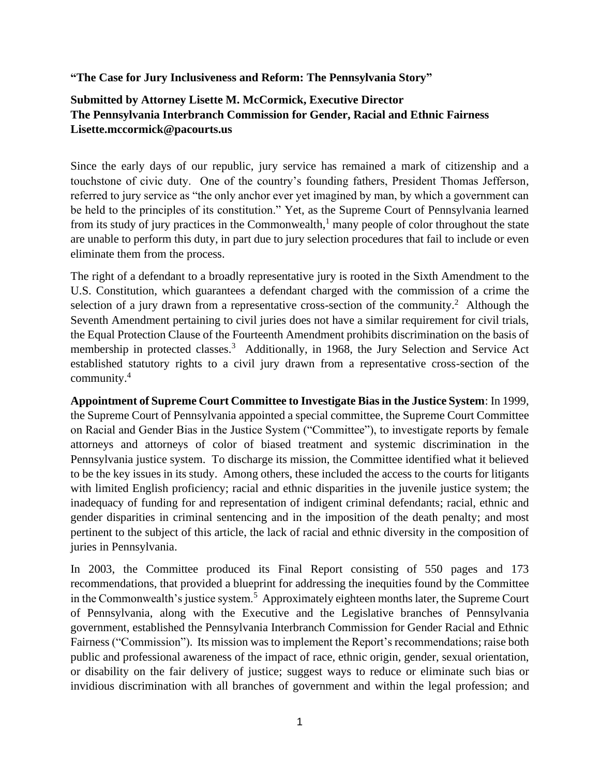**"The Case for Jury Inclusiveness and Reform: The Pennsylvania Story"**

## **Submitted by Attorney Lisette M. McCormick, Executive Director The Pennsylvania Interbranch Commission for Gender, Racial and Ethnic Fairness Lisette.mccormick@pacourts.us**

Since the early days of our republic, jury service has remained a mark of citizenship and a touchstone of civic duty. One of the country's founding fathers, President Thomas Jefferson, referred to jury service as "the only anchor ever yet imagined by man, by which a government can be held to the principles of its constitution." Yet, as the Supreme Court of Pennsylvania learned from its study of jury practices in the Commonwealth,<sup>1</sup> many people of color throughout the state are unable to perform this duty, in part due to jury selection procedures that fail to include or even eliminate them from the process.

The right of a defendant to a broadly representative jury is rooted in the Sixth Amendment to the U.S. Constitution, which guarantees a defendant charged with the commission of a crime the selection of a jury drawn from a representative cross-section of the community.<sup>2</sup> Although the Seventh Amendment pertaining to civil juries does not have a similar requirement for civil trials, the Equal Protection Clause of the Fourteenth Amendment prohibits discrimination on the basis of membership in protected classes.<sup>3</sup> Additionally, in 1968, the Jury Selection and Service Act established statutory rights to a civil jury drawn from a representative cross-section of the community. 4

**Appointment of Supreme Court Committee to Investigate Bias in the Justice System**: In 1999, the Supreme Court of Pennsylvania appointed a special committee, the Supreme Court Committee on Racial and Gender Bias in the Justice System ("Committee"), to investigate reports by female attorneys and attorneys of color of biased treatment and systemic discrimination in the Pennsylvania justice system. To discharge its mission, the Committee identified what it believed to be the key issues in its study. Among others, these included the access to the courts for litigants with limited English proficiency; racial and ethnic disparities in the juvenile justice system; the inadequacy of funding for and representation of indigent criminal defendants; racial, ethnic and gender disparities in criminal sentencing and in the imposition of the death penalty; and most pertinent to the subject of this article, the lack of racial and ethnic diversity in the composition of juries in Pennsylvania.

In 2003, the Committee produced its Final Report consisting of 550 pages and 173 recommendations, that provided a blueprint for addressing the inequities found by the Committee in the Commonwealth's justice system.<sup>5</sup> Approximately eighteen months later, the Supreme Court of Pennsylvania, along with the Executive and the Legislative branches of Pennsylvania government, established the Pennsylvania Interbranch Commission for Gender Racial and Ethnic Fairness ("Commission"). Its mission was to implement the Report's recommendations; raise both public and professional awareness of the impact of race, ethnic origin, gender, sexual orientation, or disability on the fair delivery of justice; suggest ways to reduce or eliminate such bias or invidious discrimination with all branches of government and within the legal profession; and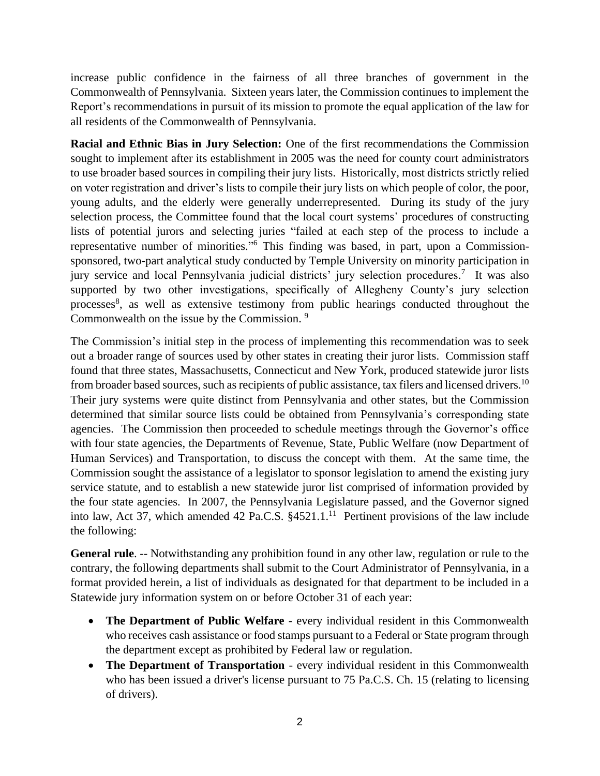increase public confidence in the fairness of all three branches of government in the Commonwealth of Pennsylvania. Sixteen years later, the Commission continues to implement the Report's recommendations in pursuit of its mission to promote the equal application of the law for all residents of the Commonwealth of Pennsylvania.

**Racial and Ethnic Bias in Jury Selection:** One of the first recommendations the Commission sought to implement after its establishment in 2005 was the need for county court administrators to use broader based sources in compiling their jury lists. Historically, most districts strictly relied on voter registration and driver's lists to compile their jury lists on which people of color, the poor, young adults, and the elderly were generally underrepresented. During its study of the jury selection process, the Committee found that the local court systems' procedures of constructing lists of potential jurors and selecting juries "failed at each step of the process to include a representative number of minorities."<sup>6</sup> This finding was based, in part, upon a Commissionsponsored, two-part analytical study conducted by Temple University on minority participation in jury service and local Pennsylvania judicial districts' jury selection procedures.<sup>7</sup> It was also supported by two other investigations, specifically of Allegheny County's jury selection processes<sup>8</sup>, as well as extensive testimony from public hearings conducted throughout the Commonwealth on the issue by the Commission.<sup>9</sup>

The Commission's initial step in the process of implementing this recommendation was to seek out a broader range of sources used by other states in creating their juror lists. Commission staff found that three states, Massachusetts, Connecticut and New York, produced statewide juror lists from broader based sources, such as recipients of public assistance, tax filers and licensed drivers.<sup>10</sup> Their jury systems were quite distinct from Pennsylvania and other states, but the Commission determined that similar source lists could be obtained from Pennsylvania's corresponding state agencies. The Commission then proceeded to schedule meetings through the Governor's office with four state agencies, the Departments of Revenue, State, Public Welfare (now Department of Human Services) and Transportation, to discuss the concept with them. At the same time, the Commission sought the assistance of a legislator to sponsor legislation to amend the existing jury service statute, and to establish a new statewide juror list comprised of information provided by the four state agencies. In 2007, the Pennsylvania Legislature passed, and the Governor signed into law, Act 37, which amended 42 Pa.C.S.  $§$ 4521.1.<sup>11</sup> Pertinent provisions of the law include the following:

**General rule**. -- Notwithstanding any prohibition found in any other law, regulation or rule to the contrary, the following departments shall submit to the Court Administrator of Pennsylvania, in a format provided herein, a list of individuals as designated for that department to be included in a Statewide jury information system on or before October 31 of each year:

- **The Department of Public Welfare** every individual resident in this Commonwealth who receives cash assistance or food stamps pursuant to a Federal or State program through the department except as prohibited by Federal law or regulation.
- **The Department of Transportation** every individual resident in this Commonwealth who has been issued a driver's license pursuant to 75 Pa.C.S. Ch. 15 (relating to licensing of drivers).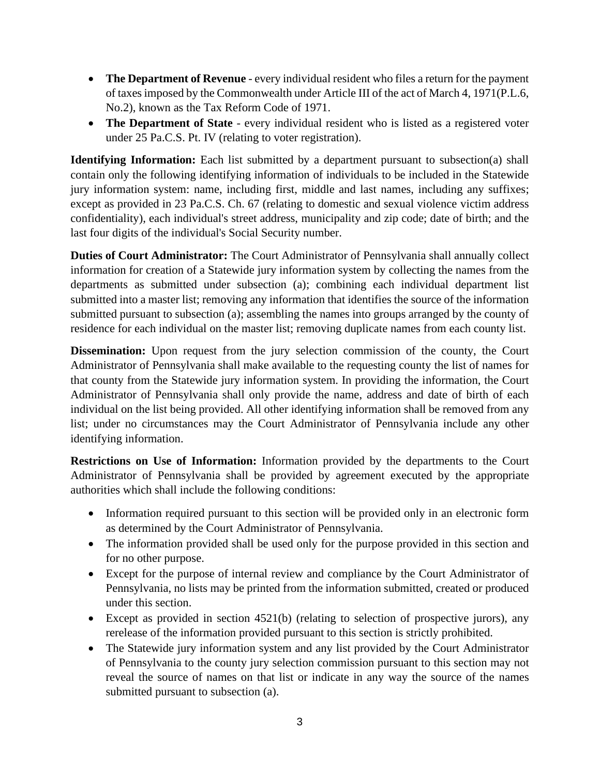- **The Department of Revenue** every individual resident who files a return for the payment of taxes imposed by the Commonwealth under Article III of the act of March 4, 1971(P.L.6, No.2), known as the Tax Reform Code of 1971.
- **The Department of State** every individual resident who is listed as a registered voter under 25 Pa.C.S. Pt. IV (relating to voter registration).

**Identifying Information:** Each list submitted by a department pursuant to subsection(a) shall contain only the following identifying information of individuals to be included in the Statewide jury information system: name, including first, middle and last names, including any suffixes; except as provided in 23 Pa.C.S. Ch. 67 (relating to domestic and sexual violence victim address confidentiality), each individual's street address, municipality and zip code; date of birth; and the last four digits of the individual's Social Security number.

**Duties of Court Administrator:** The Court Administrator of Pennsylvania shall annually collect information for creation of a Statewide jury information system by collecting the names from the departments as submitted under subsection (a); combining each individual department list submitted into a master list; removing any information that identifies the source of the information submitted pursuant to subsection (a); assembling the names into groups arranged by the county of residence for each individual on the master list; removing duplicate names from each county list.

**Dissemination:** Upon request from the jury selection commission of the county, the Court Administrator of Pennsylvania shall make available to the requesting county the list of names for that county from the Statewide jury information system. In providing the information, the Court Administrator of Pennsylvania shall only provide the name, address and date of birth of each individual on the list being provided. All other identifying information shall be removed from any list; under no circumstances may the Court Administrator of Pennsylvania include any other identifying information.

**Restrictions on Use of Information:** Information provided by the departments to the Court Administrator of Pennsylvania shall be provided by agreement executed by the appropriate authorities which shall include the following conditions:

- Information required pursuant to this section will be provided only in an electronic form as determined by the Court Administrator of Pennsylvania.
- The information provided shall be used only for the purpose provided in this section and for no other purpose.
- Except for the purpose of internal review and compliance by the Court Administrator of Pennsylvania, no lists may be printed from the information submitted, created or produced under this section.
- Except as provided in section 4521(b) (relating to selection of prospective jurors), any rerelease of the information provided pursuant to this section is strictly prohibited.
- The Statewide jury information system and any list provided by the Court Administrator of Pennsylvania to the county jury selection commission pursuant to this section may not reveal the source of names on that list or indicate in any way the source of the names submitted pursuant to subsection (a).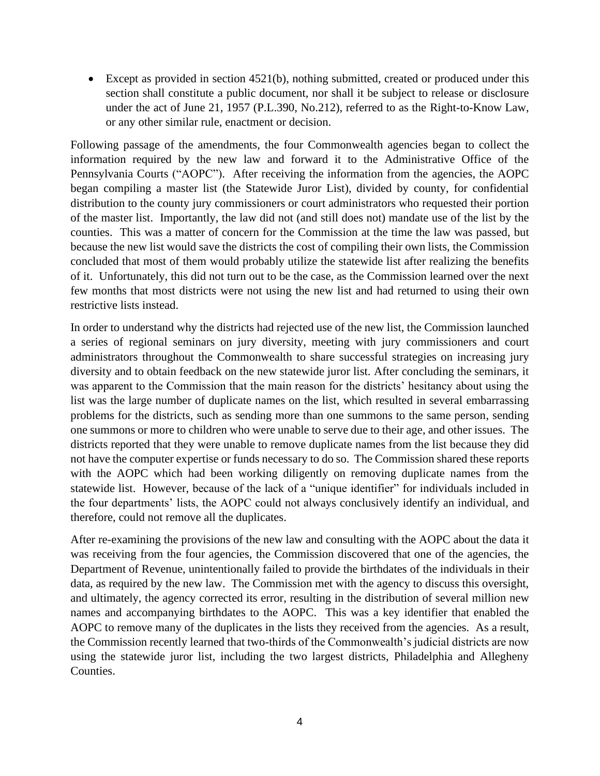• Except as provided in section 4521(b), nothing submitted, created or produced under this section shall constitute a public document, nor shall it be subject to release or disclosure under the act of June 21, 1957 (P.L.390, No.212), referred to as the Right-to-Know Law, or any other similar rule, enactment or decision.

Following passage of the amendments, the four Commonwealth agencies began to collect the information required by the new law and forward it to the Administrative Office of the Pennsylvania Courts ("AOPC"). After receiving the information from the agencies, the AOPC began compiling a master list (the Statewide Juror List), divided by county, for confidential distribution to the county jury commissioners or court administrators who requested their portion of the master list. Importantly, the law did not (and still does not) mandate use of the list by the counties. This was a matter of concern for the Commission at the time the law was passed, but because the new list would save the districts the cost of compiling their own lists, the Commission concluded that most of them would probably utilize the statewide list after realizing the benefits of it. Unfortunately, this did not turn out to be the case, as the Commission learned over the next few months that most districts were not using the new list and had returned to using their own restrictive lists instead.

In order to understand why the districts had rejected use of the new list, the Commission launched a series of regional seminars on jury diversity, meeting with jury commissioners and court administrators throughout the Commonwealth to share successful strategies on increasing jury diversity and to obtain feedback on the new statewide juror list. After concluding the seminars, it was apparent to the Commission that the main reason for the districts' hesitancy about using the list was the large number of duplicate names on the list, which resulted in several embarrassing problems for the districts, such as sending more than one summons to the same person, sending one summons or more to children who were unable to serve due to their age, and other issues. The districts reported that they were unable to remove duplicate names from the list because they did not have the computer expertise or funds necessary to do so. The Commission shared these reports with the AOPC which had been working diligently on removing duplicate names from the statewide list. However, because of the lack of a "unique identifier" for individuals included in the four departments' lists, the AOPC could not always conclusively identify an individual, and therefore, could not remove all the duplicates.

After re-examining the provisions of the new law and consulting with the AOPC about the data it was receiving from the four agencies, the Commission discovered that one of the agencies, the Department of Revenue, unintentionally failed to provide the birthdates of the individuals in their data, as required by the new law. The Commission met with the agency to discuss this oversight, and ultimately, the agency corrected its error, resulting in the distribution of several million new names and accompanying birthdates to the AOPC. This was a key identifier that enabled the AOPC to remove many of the duplicates in the lists they received from the agencies. As a result, the Commission recently learned that two-thirds of the Commonwealth's judicial districts are now using the statewide juror list, including the two largest districts, Philadelphia and Allegheny Counties.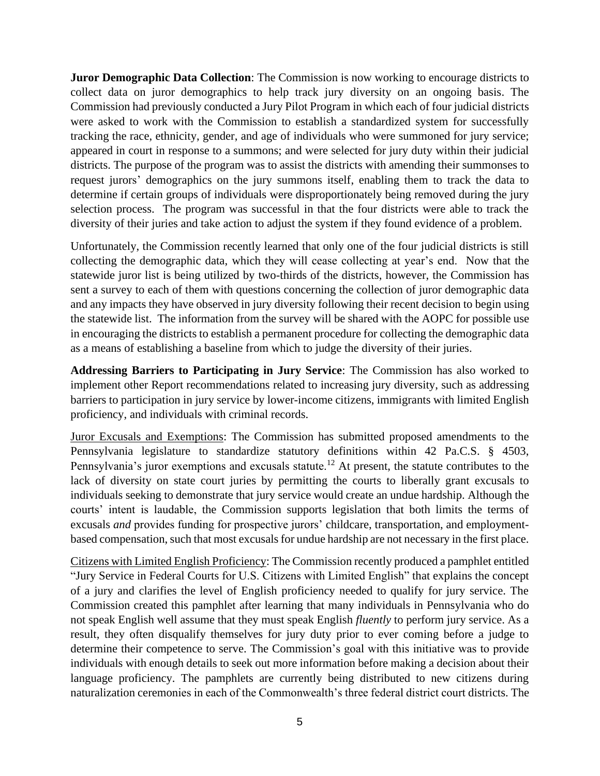**Juror Demographic Data Collection**: The Commission is now working to encourage districts to collect data on juror demographics to help track jury diversity on an ongoing basis. The Commission had previously conducted a Jury Pilot Program in which each of four judicial districts were asked to work with the Commission to establish a standardized system for successfully tracking the race, ethnicity, gender, and age of individuals who were summoned for jury service; appeared in court in response to a summons; and were selected for jury duty within their judicial districts. The purpose of the program was to assist the districts with amending their summonses to request jurors' demographics on the jury summons itself, enabling them to track the data to determine if certain groups of individuals were disproportionately being removed during the jury selection process. The program was successful in that the four districts were able to track the diversity of their juries and take action to adjust the system if they found evidence of a problem.

Unfortunately, the Commission recently learned that only one of the four judicial districts is still collecting the demographic data, which they will cease collecting at year's end. Now that the statewide juror list is being utilized by two-thirds of the districts, however, the Commission has sent a survey to each of them with questions concerning the collection of juror demographic data and any impacts they have observed in jury diversity following their recent decision to begin using the statewide list. The information from the survey will be shared with the AOPC for possible use in encouraging the districts to establish a permanent procedure for collecting the demographic data as a means of establishing a baseline from which to judge the diversity of their juries.

**Addressing Barriers to Participating in Jury Service**: The Commission has also worked to implement other Report recommendations related to increasing jury diversity, such as addressing barriers to participation in jury service by lower-income citizens, immigrants with limited English proficiency, and individuals with criminal records.

Juror Excusals and Exemptions: The Commission has submitted proposed amendments to the Pennsylvania legislature to standardize statutory definitions within 42 Pa.C.S. § 4503, Pennsylvania's juror exemptions and excusals statute.<sup>12</sup> At present, the statute contributes to the lack of diversity on state court juries by permitting the courts to liberally grant excusals to individuals seeking to demonstrate that jury service would create an undue hardship. Although the courts' intent is laudable, the Commission supports legislation that both limits the terms of excusals *and* provides funding for prospective jurors' childcare, transportation, and employmentbased compensation, such that most excusals for undue hardship are not necessary in the first place.

Citizens with Limited English Proficiency: The Commission recently produced a pamphlet entitled "Jury Service in Federal Courts for U.S. Citizens with Limited English" that explains the concept of a jury and clarifies the level of English proficiency needed to qualify for jury service. The Commission created this pamphlet after learning that many individuals in Pennsylvania who do not speak English well assume that they must speak English *fluently* to perform jury service. As a result, they often disqualify themselves for jury duty prior to ever coming before a judge to determine their competence to serve. The Commission's goal with this initiative was to provide individuals with enough details to seek out more information before making a decision about their language proficiency. The pamphlets are currently being distributed to new citizens during naturalization ceremonies in each of the Commonwealth's three federal district court districts. The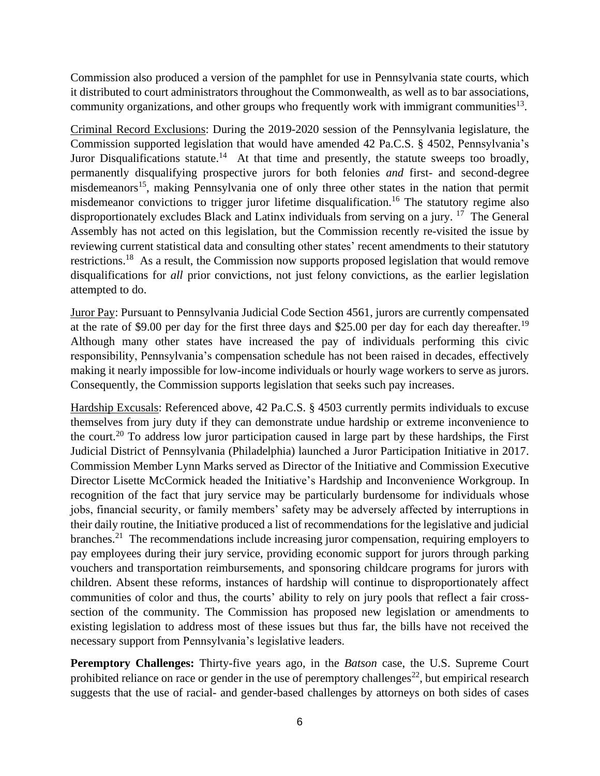Commission also produced a version of the pamphlet for use in Pennsylvania state courts, which it distributed to court administrators throughout the Commonwealth, as well as to bar associations, community organizations, and other groups who frequently work with immigrant communities<sup>13</sup>.

Criminal Record Exclusions: During the 2019-2020 session of the Pennsylvania legislature, the Commission supported legislation that would have amended 42 Pa.C.S. § 4502, Pennsylvania's Juror Disqualifications statute.<sup>14</sup> At that time and presently, the statute sweeps too broadly, permanently disqualifying prospective jurors for both felonies *and* first- and second-degree misdemeanors<sup>15</sup>, making Pennsylvania one of only three other states in the nation that permit misdemeanor convictions to trigger juror lifetime disqualification.<sup>16</sup> The statutory regime also disproportionately excludes Black and Latinx individuals from serving on a jury. <sup>17</sup> The General Assembly has not acted on this legislation, but the Commission recently re-visited the issue by reviewing current statistical data and consulting other states' recent amendments to their statutory restrictions.<sup>18</sup> As a result, the Commission now supports proposed legislation that would remove disqualifications for *all* prior convictions, not just felony convictions, as the earlier legislation attempted to do.

Juror Pay: Pursuant to Pennsylvania Judicial Code Section 4561, jurors are currently compensated at the rate of \$9.00 per day for the first three days and \$25.00 per day for each day thereafter.<sup>19</sup> Although many other states have increased the pay of individuals performing this civic responsibility, Pennsylvania's compensation schedule has not been raised in decades, effectively making it nearly impossible for low-income individuals or hourly wage workers to serve as jurors. Consequently, the Commission supports legislation that seeks such pay increases.

Hardship Excusals: Referenced above, 42 Pa.C.S. § 4503 currently permits individuals to excuse themselves from jury duty if they can demonstrate undue hardship or extreme inconvenience to the court.<sup>20</sup> To address low juror participation caused in large part by these hardships, the First Judicial District of Pennsylvania (Philadelphia) launched a Juror Participation Initiative in 2017. Commission Member Lynn Marks served as Director of the Initiative and Commission Executive Director Lisette McCormick headed the Initiative's Hardship and Inconvenience Workgroup. In recognition of the fact that jury service may be particularly burdensome for individuals whose jobs, financial security, or family members' safety may be adversely affected by interruptions in their daily routine, the Initiative produced a list of recommendations for the legislative and judicial branches.<sup>21</sup> The recommendations include increasing juror compensation, requiring employers to pay employees during their jury service, providing economic support for jurors through parking vouchers and transportation reimbursements, and sponsoring childcare programs for jurors with children. Absent these reforms, instances of hardship will continue to disproportionately affect communities of color and thus, the courts' ability to rely on jury pools that reflect a fair crosssection of the community. The Commission has proposed new legislation or amendments to existing legislation to address most of these issues but thus far, the bills have not received the necessary support from Pennsylvania's legislative leaders.

**Peremptory Challenges:** Thirty-five years ago, in the *Batson* case, the U.S. Supreme Court prohibited reliance on race or gender in the use of peremptory challenges<sup>22</sup>, but empirical research suggests that the use of racial- and gender-based challenges by attorneys on both sides of cases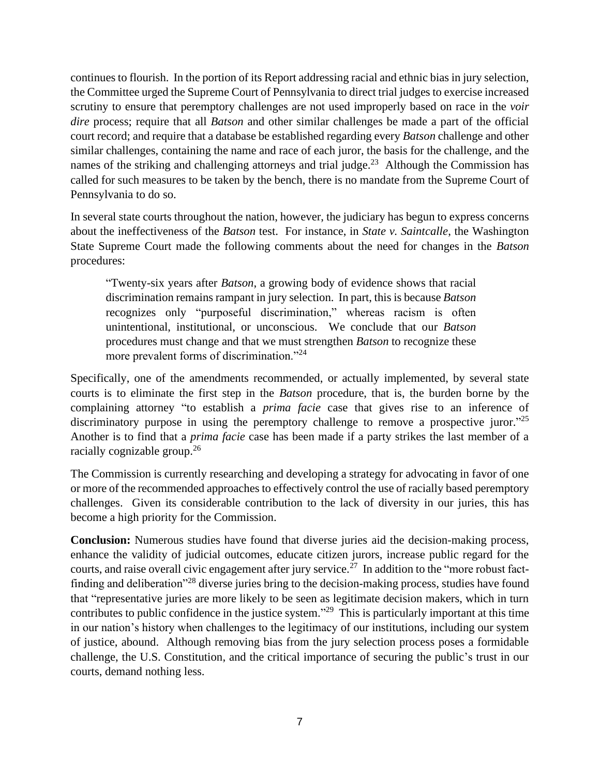continues to flourish. In the portion of its Report addressing racial and ethnic bias in jury selection, the Committee urged the Supreme Court of Pennsylvania to direct trial judges to exercise increased scrutiny to ensure that peremptory challenges are not used improperly based on race in the *voir dire* process; require that all *Batson* and other similar challenges be made a part of the official court record; and require that a database be established regarding every *Batson* challenge and other similar challenges, containing the name and race of each juror, the basis for the challenge, and the names of the striking and challenging attorneys and trial judge.<sup>23</sup> Although the Commission has called for such measures to be taken by the bench, there is no mandate from the Supreme Court of Pennsylvania to do so.

In several state courts throughout the nation, however, the judiciary has begun to express concerns about the ineffectiveness of the *Batson* test. For instance, in *State v. Saintcalle*, the Washington State Supreme Court made the following comments about the need for changes in the *Batson* procedures:

"Twenty-six years after *Batson*, a growing body of evidence shows that racial discrimination remains rampant in jury selection. In part, this is because *Batson*  recognizes only "purposeful discrimination," whereas racism is often unintentional, institutional, or unconscious. We conclude that our *Batson* procedures must change and that we must strengthen *Batson* to recognize these more prevalent forms of discrimination."<sup>24</sup>

Specifically, one of the amendments recommended, or actually implemented, by several state courts is to eliminate the first step in the *Batson* procedure, that is, the burden borne by the complaining attorney "to establish a *prima facie* case that gives rise to an inference of discriminatory purpose in using the peremptory challenge to remove a prospective juror.<sup> $325$ </sup> Another is to find that a *prima facie* case has been made if a party strikes the last member of a racially cognizable group.<sup>26</sup>

The Commission is currently researching and developing a strategy for advocating in favor of one or more of the recommended approaches to effectively control the use of racially based peremptory challenges. Given its considerable contribution to the lack of diversity in our juries, this has become a high priority for the Commission.

**Conclusion:** Numerous studies have found that diverse juries aid the decision-making process, enhance the validity of judicial outcomes, educate citizen jurors, increase public regard for the courts, and raise overall civic engagement after jury service.<sup>27</sup> In addition to the "more robust factfinding and deliberation"<sup>28</sup> diverse juries bring to the decision-making process, studies have found that "representative juries are more likely to be seen as legitimate decision makers, which in turn contributes to public confidence in the justice system."<sup>29</sup> This is particularly important at this time in our nation's history when challenges to the legitimacy of our institutions, including our system of justice, abound. Although removing bias from the jury selection process poses a formidable challenge, the U.S. Constitution, and the critical importance of securing the public's trust in our courts, demand nothing less.